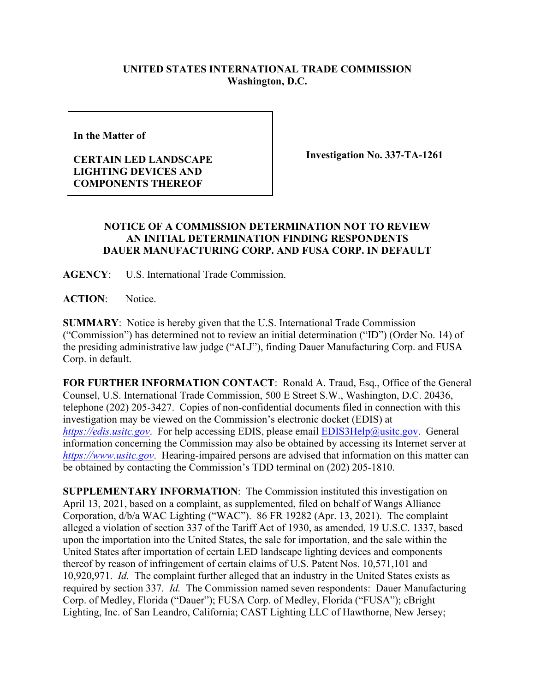## **UNITED STATES INTERNATIONAL TRADE COMMISSION Washington, D.C.**

**In the Matter of** 

## **CERTAIN LED LANDSCAPE LIGHTING DEVICES AND COMPONENTS THEREOF**

**Investigation No. 337-TA-1261**

## **NOTICE OF A COMMISSION DETERMINATION NOT TO REVIEW AN INITIAL DETERMINATION FINDING RESPONDENTS DAUER MANUFACTURING CORP. AND FUSA CORP. IN DEFAULT**

**AGENCY**: U.S. International Trade Commission.

**ACTION**: Notice.

**SUMMARY**: Notice is hereby given that the U.S. International Trade Commission ("Commission") has determined not to review an initial determination ("ID") (Order No. 14) of the presiding administrative law judge ("ALJ"), finding Dauer Manufacturing Corp. and FUSA Corp. in default.

**FOR FURTHER INFORMATION CONTACT**: Ronald A. Traud, Esq., Office of the General Counsel, U.S. International Trade Commission, 500 E Street S.W., Washington, D.C. 20436, telephone (202) 205-3427. Copies of non-confidential documents filed in connection with this investigation may be viewed on the Commission's electronic docket (EDIS) at *[https://edis.usitc.gov](https://edis.usitc.gov/).* For help accessing EDIS, please email [EDIS3Help@usitc.gov.](mailto:EDIS3Help@usitc.gov) General information concerning the Commission may also be obtained by accessing its Internet server at *[https://www.usitc.gov](https://www.usitc.gov/)*. Hearing-impaired persons are advised that information on this matter can be obtained by contacting the Commission's TDD terminal on (202) 205-1810.

**SUPPLEMENTARY INFORMATION**: The Commission instituted this investigation on April 13, 2021, based on a complaint, as supplemented, filed on behalf of Wangs Alliance Corporation, d/b/a WAC Lighting ("WAC"). 86 FR 19282 (Apr. 13, 2021). The complaint alleged a violation of section 337 of the Tariff Act of 1930, as amended, 19 U.S.C. 1337, based upon the importation into the United States, the sale for importation, and the sale within the United States after importation of certain LED landscape lighting devices and components thereof by reason of infringement of certain claims of U.S. Patent Nos. 10,571,101 and 10,920,971. *Id.* The complaint further alleged that an industry in the United States exists as required by section 337. *Id.* The Commission named seven respondents: Dauer Manufacturing Corp. of Medley, Florida ("Dauer"); FUSA Corp. of Medley, Florida ("FUSA"); cBright Lighting, Inc. of San Leandro, California; CAST Lighting LLC of Hawthorne, New Jersey;